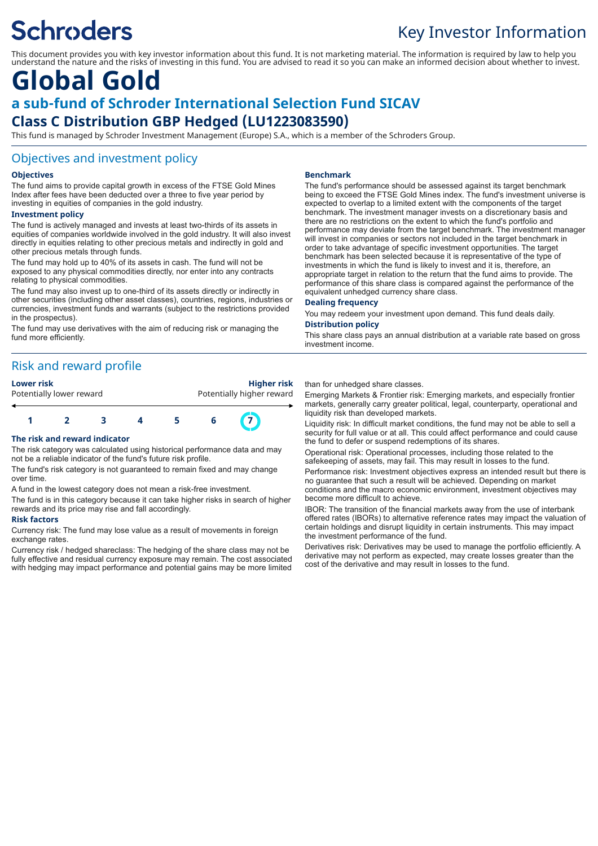# **Schroders**

### Key Investor Information

This document provides you with key investor information about this fund. It is not marketing material. The information is required by law to help you understand the nature and the risks of investing in this fund. You are advised to read it so you can make an informed decision about whether to invest.

### **Global Gold a sub-fund of Schroder International Selection Fund SICAV Class C Distribution GBP Hedged (LU1223083590)**

This fund is managed by Schroder Investment Management (Europe) S.A., which is a member of the Schroders Group.

#### Objectives and investment policy

#### **Objectives**

The fund aims to provide capital growth in excess of the FTSE Gold Mines Index after fees have been deducted over a three to five year period by investing in equities of companies in the gold industry.

#### **Investment policy**

The fund is actively managed and invests at least two-thirds of its assets in equities of companies worldwide involved in the gold industry. It will also invest directly in equities relating to other precious metals and indirectly in gold and other precious metals through funds.

The fund may hold up to 40% of its assets in cash. The fund will not be exposed to any physical commodities directly, nor enter into any contracts relating to physical commodities.

The fund may also invest up to one-third of its assets directly or indirectly in other securities (including other asset classes), countries, regions, industries or currencies, investment funds and warrants (subject to the restrictions provided in the prospectus).

The fund may use derivatives with the aim of reducing risk or managing the fund more efficiently.

### Risk and reward profile

#### **Lower risk Higher risk**

Potentially lower reward **Potentially higher reward** 

## **1 2 3 4 5 6 7**

#### **The risk and reward indicator**

The risk category was calculated using historical performance data and may not be a reliable indicator of the fund's future risk profile.

The fund's risk category is not guaranteed to remain fixed and may change over time.

A fund in the lowest category does not mean a risk-free investment.

The fund is in this category because it can take higher risks in search of higher rewards and its price may rise and fall accordingly.

#### **Risk factors**

Currency risk: The fund may lose value as a result of movements in foreign exchange rates

Currency risk / hedged shareclass: The hedging of the share class may not be fully effective and residual currency exposure may remain. The cost associated with hedging may impact performance and potential gains may be more limited

#### **Benchmark**

The fund's performance should be assessed against its target benchmark being to exceed the FTSE Gold Mines index. The fund's investment universe is expected to overlap to a limited extent with the components of the target benchmark. The investment manager invests on a discretionary basis and there are no restrictions on the extent to which the fund's portfolio and performance may deviate from the target benchmark. The investment manager will invest in companies or sectors not included in the target benchmark in order to take advantage of specific investment opportunities. The target benchmark has been selected because it is representative of the type of investments in which the fund is likely to invest and it is, therefore, an appropriate target in relation to the return that the fund aims to provide. The performance of this share class is compared against the performance of the equivalent unhedged currency share class.

#### **Dealing frequency**

You may redeem your investment upon demand. This fund deals daily. **Distribution policy**

This share class pays an annual distribution at a variable rate based on gross investment income.

than for unhedged share classes.

Emerging Markets & Frontier risk: Emerging markets, and especially frontier markets, generally carry greater political, legal, counterparty, operational and liquidity risk than developed markets.

Liquidity risk: In difficult market conditions, the fund may not be able to sell a security for full value or at all. This could affect performance and could cause the fund to defer or suspend redemptions of its shares.

Operational risk: Operational processes, including those related to the safekeeping of assets, may fail. This may result in losses to the fund.

Performance risk: Investment objectives express an intended result but there is no guarantee that such a result will be achieved. Depending on market conditions and the macro economic environment, investment objectives may become more difficult to achieve.

IBOR: The transition of the financial markets away from the use of interbank offered rates (IBORs) to alternative reference rates may impact the valuation of certain holdings and disrupt liquidity in certain instruments. This may impact the investment performance of the fund.

Derivatives risk: Derivatives may be used to manage the portfolio efficiently. A derivative may not perform as expected, may create losses greater than the cost of the derivative and may result in losses to the fund.